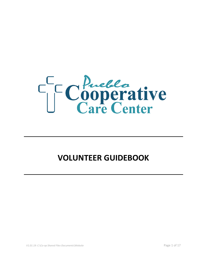

# **VOLUNTEER GUIDEBOOK**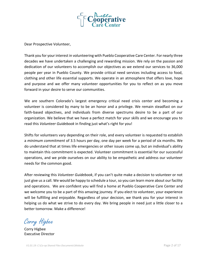

Dear Prospective Volunteer,

Thank you for your interest in volunteering with Pueblo Cooperative Care Center. For nearly three decades we have undertaken a challenging and rewarding mission. We rely on the passion and dedication of our volunteers to accomplish our objectives as we extend our services to 36,000 people per year in Pueblo County. We provide critical need services including access to food, clothing and other life essential supports. We operate in an atmosphere that offers love, hope and purpose and we offer many volunteer opportunities for you to reflect on as you move forward in your desire to serve our communities.

We are southern Colorado's largest emergency critical need crisis center and becoming a volunteer is considered by many to be an honor and a privilege. We remain steadfast on our faith-based objectives, and individuals from diverse spectrums desire to be a part of our organization. We believe that we have a perfect match for your skills and we encourage you to read this *Volunteer Guidebook* in finding just what's right for you!

Shifts for volunteers vary depending on their role, and every volunteer is requested to establish a *minimum commitment* of 3.5 hours per day, one day per week for a period of six months. We do understand that at times life emergencies or other issues come up, but an individual's ability to maintain this commitment is expected. Volunteer commitment is essential for our successful operations, and we pride ourselves on our ability to be empathetic and address our volunteer needs for the common good.

After reviewing this *Volunteer Guidebook*, if you can't quite make a decision to volunteer or not just give us a call. We would be happy to schedule a tour, so you can learn more about our facility and operations. We are confident you will find a home at Pueblo Cooperative Care Center and we welcome you to be a part of this amazing journey. If you elect to volunteer, your experience will be fulfilling and enjoyable. Regardless of your decision, we thank you for your interest in helping us do what we strive to do every day. We bring people in need just a little closer to a better tomorrow. Make a difference!

Corry Higbee

Corry Higbee Executive Director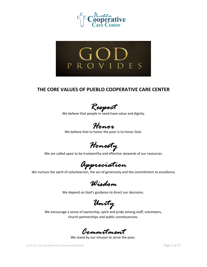



### **THE CORE VALUES OF PUEBLO COOPERATIVE CARE CENTER**

*Respect* 

We believe that people in need have value and dignity.

*Honor* 

We believe that to honor the poor is to honor God.

*Honesty* 

We are called upon to be trustworthy and effective stewards of our resources.

*Appreciation* 

We nurture the spirit of volunteerism, the act of generosity and the commitment to excellence.

*Wisdom* 

We depend on God's guidance to direct our decisions.

*Unity* 

We encourage a sense of ownership, spirit and pride among staff, volunteers, church partnerships and public constituencies.

*Commitment* 

We stand by our mission to serve the poor.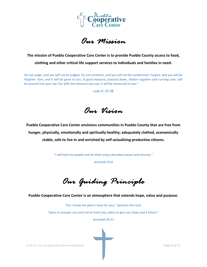

*Our Mission* 

## **The mission of Pueblo Cooperative Care Center is to provide Pueblo County access to food, clothing and other critical life support services to individuals and families in need.**

Do not judge, and you will not be judged. Do not condemn, and you will not be condemned. Forgive, and you will be forgiven. Give, and it will be given to you. A good measure, pressed down, shaken together and running over, will be poured into your lap. For with the measure you use, it will be measured to you."

*Luke 6: 37-38*

*Our Vision* 

**Pueblo Cooperative Care Center envisions communities in Pueblo County that are free from hunger, physically, emotionally and spiritually healthy; adequately clothed, economically stable, safe to live in and enriched by self-actualizing productive citizens.**

"I will heal my people and let them enjoy abundant peace and security."

*Jeremiah 33:6*

*Our Guiding Principle* 

**Pueblo Cooperative Care Center is an atmosphere that extends hope, value and purpose.**

"For I know the plans I have for you," declares the Lord,

"plans to prosper you and not to harm you, plans to give you hope and a future."

*Jeremiah 29:11*

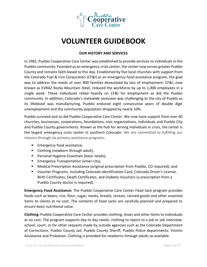

## **VOLUNTEER GUIDEBOOK**

#### **OUR HISTORY AND SERVICES**

In 1982, Pueblo Cooperative Care Center was established to provide services to individuals in the Pueblo community. Founded as an emergency crisis center, the center now serves greater Pueblo County and remains faith-based to this day. Established by five local churches with support from the Colorado Fuel & Iron Corporation (CF&I) as an emergency food assistance program, the goal was to address the needs of over 800 families devastated by loss of employment. CF&I, now known as EVRAZ Rocky Mountain Steel, reduced the workforce by up to 1,000 employees in a single week. These individuals relied heavily on CF&I for employment as did the Pueblo community. In addition, Colorado's statewide recession was challenging to the city of Pueblo as its lifeblood was manufacturing. Pueblo endured eight consecutive years of double digit unemployment and the community population dropped by nearly 10%.

Pueblo survived and so did Pueblo Cooperative Care Center. We now have support from over 60 churches, businesses, corporations, foundations, civic organizations, individuals and Pueblo City and Pueblo County governments. Known as the hub for serving individuals in crisis, the center is the largest emergency crisis center in southern Colorado. We are committed to fulfilling our mission through six primary assistance programs.

- Emergency food assistance,
- Clothing (newborn through adult),
- Personal Hygiene Essentials (basic needs),
- **Emergency Transportation (inner-city),**
- Medical Prescription Assistance (original prescription from Pueblo, CO required), and
- Voucher Programs, including Colorado Identification Card, Colorado Driver's License, Birth Certificates, Death Certificates, and Diabetic Vouchers (a prescription from a Pueblo County doctor is required).

**Emergency Food Assistance:** The Pueblo Cooperative Care Center Food Sack program provides foods such as beans, rice, flour, sugar, meats, breads, cereals, canned goods and other essential items to clients at no cost. The contents of food sacks are carefully planned and prepared to ensure basic nutritional value.

**Clothing:** Pueblo Cooperative Care Center provides clothing, shoes and other items to individuals at no cost. The program supports day to day needs, clothing to report to a job or job interview; school, court, or for other requests made by outside agencies such as the Colorado Department of Corrections, Pueblo County Jail, Pueblo County Sheriff, Pueblo Police departments, Victims Assistance and Probation. Clothing is provided for newborns through adults as available.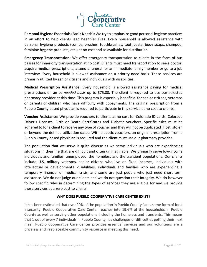

**Personal Hygiene Essentials (Basic Needs):** We try to emphasize good personal hygiene practices in an effort to help clients lead healthier lives. Every household is allowed assistance with personal hygiene products (combs, brushes, toothbrushes, toothpaste, body soaps, shampoo, feminine hygiene products, etc.) at no cost and as available for distribution.

**Emergency Transportation:** We offer emergency transportation to clients in the form of bus passes for inner-city transportation at no cost. Clients must need transportation to see a doctor, acquire medical prescriptions, attend a funeral for an immediate family member or go to a job interview. Every household is allowed assistance on a priority need basis. These services are primarily utilized by senior citizens and individuals with disabilities.

**Medical Prescription Assistance:** Every household is allowed assistance paying for medical prescriptions on an *as needed basis* up to \$75.00. The client is required to use our selected pharmacy provider at this time. This program is especially beneficial for senior citizens, veterans or parents of children who have difficulty with copayments. The original prescription from a Pueblo County based physician is required to participate in this service at no cost to clients.

**Voucher Assistance:** We provide vouchers to clients at no cost for Colorado ID cards, Colorado Driver's Licenses, Birth or Death Certificates and Diabetic vouchers. Specific rules must be adhered to for a client to receive any type of voucher and they will not be duplicated if lost, stolen or beyond the defined utilization dates. With diabetic vouchers, an original prescription from a Pueblo County based physician is required and the client must use our pharmacy provider.

The population that we serve is quite diverse as we serve individuals who are experiencing situations in their life that are difficult and often unimaginable. We primarily serve low-income individuals and families, unemployed, the homeless and the transient populations. Our clients include U.S. military veterans, senior citizens who live on fixed incomes, individuals with intellectual or developmental disabilities, individuals and families who are experiencing a temporary financial or medical crisis, and some are just people who just need short term assistance. We do not judge our clients and we do not question their integrity. We do however follow specific rules in determining the types of services they are eligible for and we provide those services at a zero cost to clients.

#### **WHY DOES PUEBLO COOPERATIVE CARE CENTER EXIST?**

It has been estimated that over 20% of the population in Pueblo County faces some form of food insecurity. Pueblo Cooperative Care Center reaches into 19.6% of the households in Pueblo County as well as serving other populations including the homeless and transients. This means that 1 out of every 7 individuals in Pueblo County has challenges or difficulties getting their next meal. Pueblo Cooperative Care Center provides essential services and our volunteers are a priceless and irreplaceable community resource in meeting this need.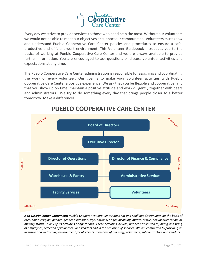

Every day we strive to provide services to those who need help the most. Without our volunteers we would not be able to meet our objectives or support our communities. Volunteers must know and understand Pueblo Cooperative Care Center policies and procedures to ensure a safe, productive and efficient work environment. This Volunteer Guidebook introduces you to the basics of working at Pueblo Cooperative Care Center and we are always available to provide further information. You are encouraged to ask questions or discuss volunteer activities and expectations at any time.

The Pueblo Cooperative Care Center administration is responsible for assigning and coordinating the work of every volunteer. Our goal is to make your volunteer activities with Pueblo Cooperative Care Center a positive experience. We ask that you be flexible and cooperative, and that you show up on time, maintain a positive attitude and work diligently together with peers and administrators. We try to do something every day that brings people closer to a better tomorrow. Make a difference!



## **PUEBLO COOPERATIVE CARE CENTER**

*Non-Discrimination Statement: Pueblo Cooperative Care Center does not and shall not discriminate on the basis of race, color, religion, gender, gender expression, age, national origin, disability, marital status, sexual orientation, or military status, in any of its activities or operations. These activities include, but are not limited to, hiring and firing of employees, selection of volunteers and vendors and in the provision of services. We are committed to providing an inclusive and welcoming environment for all clients, members of our staff, volunteers, subcontractors and vendors.*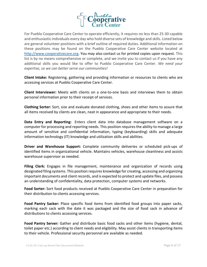

For Pueblo Cooperative Care Center to operate efficiently, it requires no less than 25-30 capable and enthusiastic individuals every day who hold diverse sets of knowledge and skills. Listed below are general volunteer positions with a brief outline of required duties. Additional information on these positions may be found on the Pueblo Cooperative Care Center website located at [http://www.cooperativecare.org.](http://www.cooperativecare.org/) You may also contact us for printed copies upon request. This list is by no means comprehensive or complete, and we invite you to contact us if you have any additional skills you would like to offer to Pueblo Cooperative Care Center. *We need your expertise, so we can better serve our communities!*

**Client Intake:** Registering, gathering and providing information or resources to clients who are accessing services at Pueblo Cooperative Care Center.

**Client Interviewer:** Meets with clients on a one-to-one basis and interviews them to obtain personal information prior to their receipt of services.

**Clothing Sorter:** Sort, size and evaluate donated clothing, shoes and other items to assure that all items received by clients are clean, neat in appearance and appropriate to their needs.

**Data Entry and Reporting:** Enters client data into database management software on a computer for processing and reporting needs. This position requires the ability to manage a large amount of sensitive and confidential information, typing (keyboarding) skills and adequate information technology (IT) knowledge and utilization skills and abilities.

**Driver and Warehouse Support:** Complete community deliveries or scheduled pick-ups of identified items in organizational vehicle. Maintains vehicles, warehouse cleanliness and assists warehouse supervisor as needed.

**Filing Clerk:** Engages in file management, maintenance and organization of records using designated filing systems. This position requires knowledge for creating, accessing and organizing important documents and client records, and is expected to protect and update files, and possess an understanding of confidentiality, data protection, computer systems and networks.

**Food Sorter:** Sort food products received at Pueblo Cooperative Care Center in preparation for their distribution to clients accessing services.

**Food Pantry Sacker:** Place specific food items from identified food groups into paper sacks, marking each sack with the date it was packaged and the size of food sack in advance of distributions to clients accessing services.

**Food Pantry Server:** Gather and distribute basic food sacks and other items (hygiene, dental, toilet paper etc.) according to client needs and eligibility. May assist clients in transporting items to their vehicle. Professional security personnel are available as needed.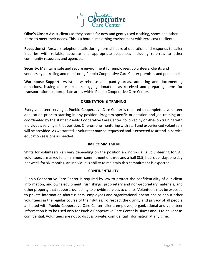

**Olive's Closet:** Assist clients as they search for new and gently used clothing, shoes and other items to meet their needs. This is a boutique clothing environment with zero cost to clients.

**Receptionist:** Answers telephone calls during normal hours of operation and responds to caller inquiries with reliable, accurate and appropriate responses including referrals to other community resources and agencies.

**Security:** Maintains safe and secure environment for employees, volunteers, clients and vendors by patrolling and monitoring Pueblo Cooperative Care Center premises and personnel.

**Warehouse Support:** Assist in warehouse and pantry areas, accepting and documenting donations, issuing donor receipts, logging donations as received and preparing items for transportation to appropriate areas within Pueblo Cooperative Care Center.

#### **ORIENTATION & TRAINING**

Every volunteer serving at Pueblo Cooperative Care Center is required to complete a volunteer application prior to starting in any position. Program-specific orientation and job training are coordinated by the staff at Pueblo Cooperative Care Center, followed by on-the-job training with individuals serving in that position. One-on-one mentoring with staff and experienced volunteers will be provided. As warranted, a volunteer may be requested and is expected to attend in-service education sessions as needed.

#### **TIME COMMITMENT**

Shifts for volunteers can vary depending on the position an individual is volunteering for. All volunteers are asked for a minimum commitment of three and a half (3.5) hours per day, one day per week for six months. An individual's ability to maintain this commitment is expected.

#### **CONFIDENTIALITY**

Pueblo Cooperative Care Center is required by law to protect the confidentiality of our client information, and owns equipment, furnishings, proprietary and non-proprietary materials; and other property that supports our ability to provide services to clients. Volunteers may be exposed to private information about clients, employees and organizational operations or about other volunteers in the regular course of their duties. To respect the dignity and privacy of all people affiliated with Pueblo Cooperative Care Center, client, employee, organizational and volunteer information is to be used only for Pueblo Cooperative Care Center business and is to be kept as confidential. Volunteers are not to discuss private, confidential information at any time.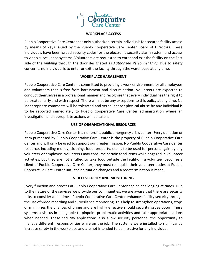

#### **WORKPLACE ACCESS**

Pueblo Cooperative Care Center has only authorized certain individuals for secured facility access by means of keys issued by the Pueblo Cooperative Care Center Board of Directors. These individuals have been issued security codes for the electronic security alarm system and access to video surveillance systems. Volunteers are requested to enter and exit the facility on the East side of the building through the door designated as *Authorized Personnel Only*. Due to safety concerns, no individual is to enter or exit the facility through the warehouse at any time.

#### **WORKPLACE HARASSMENT**

Pueblo Cooperative Care Center is committed to providing a work environment for all employees and volunteers that is free from harassment and discrimination. Volunteers are expected to conduct themselves in a professional manner and recognize that every individual has the right to be treated fairly and with respect. There will not be any exceptions to this policy at any time. No inappropriate comments will be tolerated and verbal and/or physical abuse by any individual is to be reported immediately to Pueblo Cooperative Care Center administration where an investigation and appropriate actions will be taken.

#### **USE OF ORGANZIATIONAL RESOURCES**

Pueblo Cooperative Care Center is a nonprofit, public emergency crisis center. Every donation or item purchased by Pueblo Cooperative Care Center is the property of Pueblo Cooperative Care Center and will only be used to support our greater mission. No Pueblo Cooperative Care Center resource, including money, clothing, food, property, etc. is to be used for personal gain by any volunteer or employee. Volunteers may consume certain food items while engaged in volunteer activities, but they are not entitled to take food outside the facility. If a volunteer becomes a client of Pueblo Cooperative Care Center, they must relinquish their volunteer duties at Pueblo Cooperative Care Center until their situation changes and a redetermination is made.

#### **VIDEO SECURITY AND MONITORING**

Every function and process at Pueblo Cooperative Care Center can be challenging at times. Due to the nature of the services we provide our communities, we are aware that there are security risks to consider at all times. Pueblo Cooperative Care Center enhances facility security through the use of video recording and surveillance monitoring. This help to strengthen operations, stops or minimizes the chances of crime and are highly effective should security issues occur. These systems assist us in being able to pinpoint problematic activities and take appropriate actions when needed. These security applications also allow security personnel the opportunity to manage different responsibilities while on the job. The systems were installed to significantly increase safety in the workplace and are not intended to be intrusive for any individual.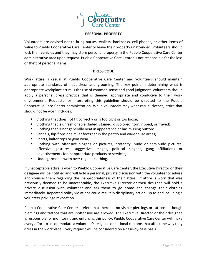

#### **PERSONAL PROPERTY**

Volunteers are advised not to bring purses, wallets, backpacks, cell phones, or other items of value to Pueblo Cooperative Care Center or leave their property unattended. Volunteers should lock their vehicles and they may store personal property in the Pueblo Cooperative Care Center administrative area upon request. Pueblo Cooperative Care Center is not responsible for the loss or theft of personal items.

#### **DRESS CODE**

Work attire is casual at Pueblo Cooperative Care Center and volunteers should maintain appropriate standards of neat dress and grooming. The key point in determining what is appropriate workplace attire is the use of common sense and good judgment. Volunteers should apply a personal dress practice that is deemed appropriate and conducive to their work environment. Requests for interpreting this guideline should be directed to the Pueblo Cooperative Care Center administration. While volunteers may wear casual clothes, attire that should not be worn includes:

- Clothing that does not fit correctly or is too tight or too loose;
- Clothing that is unfashionable (faded, stained, discolored, torn, ripped, or frayed);
- Clothing that is not generally neat in appearance or has missing buttons;
- Sandals, flip-flops or similar footgear in the pantry and warehouse areas;
- Shorts, halter tops or gym wear;
- Clothing with offensive slogans or pictures, profanity, nude or seminude pictures, offensive gestures, suggestive images, political slogans, gang affiliations or advertisements for inappropriate products or services;
- Undergarments worn over regular clothing.

If unacceptable attire is worn to Pueblo Cooperative Care Center, the Executive Director or their designee will be notified and will hold a personal, private discussion with the volunteer to advise and counsel them regarding the inappropriateness of their attire. If attire is worn that was previously deemed to be unacceptable, the Executive Director or their designee will hold a private discussion with volunteer and ask them to go home and change their clothing immediately. Repeated policy violations could result in disciplinary action, up to and including a volunteer privilege revocation.

Pueblo Cooperative Care Center prefers that there be no visible piercings or tattoos, although piercings and tattoos that are inoffensive are allowed. The Executive Director or their designee is responsible for monitoring and enforcing this policy. Pueblo Cooperative Care Center will make every effort to accommodate a volunteer's religious or national customs that affect the way they dress in the workplace. Every request will be considered on a case-by-case basis.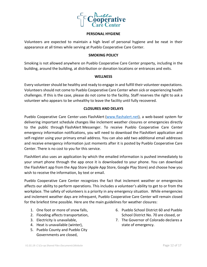

#### **PERSONAL HYGIENE**

Volunteers are expected to maintain a high level of personal hygiene and be neat in their appearance at all times while serving at Pueblo Cooperative Care Center.

#### **SMOKING POLICY**

Smoking is not allowed anywhere on Pueblo Cooperative Care Center property, including in the building, around the building, at distribution or donation locations or entrances and exits.

#### **WELLNESS**

Every volunteer should be healthy and ready to engage in and fulfill their volunteer expectations. Volunteers should not come to Pueblo Cooperative Care Center when sick or experiencing health challenges. If this is the case, please do not come to the facility. Staff reserves the right to ask a volunteer who appears to be unhealthy to leave the facility until fully recovered.

#### **CLOSURES AND DELAYS**

Pueblo Cooperative Care Center uses FlashAlert [\(www.flashalert.net\)](http://www.flashalert.net/), a web-based system for delivering important schedule changes like inclement weather closures or emergencies directly to the public through FlashAlert Messenger. To receive Pueblo Cooperative Care Center emergency information notifications, you will need to download the FlashAlert application and self-register using your primary email address. You can also add two additional email addresses and receive emergency information just moments after it is posted by Pueblo Cooperative Care Center. There is no cost to you for this service.

FlashAlert also uses an application by which the emailed information is pushed immediately to your smart phone through the app once it is downloaded to your phone. You can download the FlashAlert app from the App Store (Apple App Store, Google Play Store) and choose how you wish to receive the information, by text or email.

Pueblo Cooperative Care Center recognizes the fact that inclement weather or emergencies affects our ability to perform operations. This includes a volunteer's ability to get to or from the workplace. The safety of volunteers is a priority in any emergency situation. While emergencies and inclement weather days are infrequent, Pueblo Cooperative Care Center will remain closed for the briefest time possible. Here are the main guidelines for weather closures:

- 1. One foot or more of snow falls,
- 2. Flooding affects transportation,
- 3. Electricity is unavailable,
- 4. Heat is unavailable (winter),
- 5. Pueblo County and Pueblo City Governments are closed,
- 6. Pueblo School District 60 and Pueblo School District No. 70 are closed, or
- 7. The Governor of Colorado declares a state of emergency.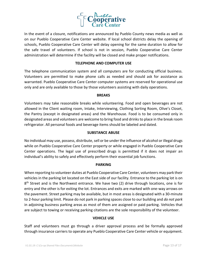

In the event of a closure, notifications are announced by Pueblo County news media as well as on our Pueblo Cooperative Care Center website. If local school districts delay the opening of schools, Pueblo Cooperative Care Center will delay opening for the same duration to allow for the safe travel of volunteers. If school is not in session, Pueblo Cooperative Care Center administration will determine if the facility will be closed and make proper notifications.

#### **TELEPHONE AND COMPUTER USE**

The telephone communication system and all computers are for conducting official business. Volunteers are permitted to make phone calls as needed and should ask for assistance as warranted. Pueblo Cooperative Care Center computer systems are reserved for operational use only and are only available to those by those volunteers assisting with daily operations.

#### **BREAKS**

Volunteers may take reasonable breaks while volunteering. Food and open beverages are not allowed in the Client waiting room, Intake, Interviewing, Clothing Sorting Room, Olive's Closet, the Pantry (except in designated areas) and the Warehouse. Food is to be consumed only in designated areas and volunteers are welcome to bring food and drinks to place in the break room refrigerator. All personal foods and beverage items should be labeled and dated.

#### **SUBSTANCE ABUSE**

No individual may use, possess, distribute, sell or be under the influence of alcohol or illegal drugs while on Pueblo Cooperative Care Center property or while engaged in Pueblo Cooperative Care Center operations. The legal use of prescribed drugs is permitted if it does not impair an individual's ability to safely and effectively perform their essential job functions.

#### **PARKING**

When reporting to volunteer duties at Pueblo Cooperative Care Center, volunteers may park their vehicles in the parking lot located on the East side of our facility. Entrance to the parking lot is on 8<sup>th</sup> Street and is the Northwest entrance. We have two (2) drive through locations, one is for entry and the other is for exiting the lot. Entrances and exits are marked with one-way arrows on the pavement. Street parking may be available, but in most areas is designated with a 30-minute to 2-hour parking limit. Please do not park in parking spaces close to our building and *do not park* in adjoining business parking areas as most of them are assigned or paid parking. Vehicles that are subject to towing or receiving parking citations are the sole responsibility of the volunteer.

#### **VEHICLE USE**

Staff and volunteers must go through a driver approval process and be formally approved through insurance carriers to operate any Pueblo Cooperative Care Center vehicle or equipment.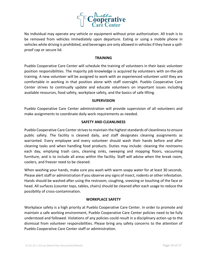

No individual may operate any vehicle or equipment without prior authorization. All trash is to be removed from vehicles immediately upon departure. Eating or using a mobile phone in vehicles while driving is prohibited, and beverages are only allowed in vehicles if they have a spillproof cap or secure lid.

#### **TRAINING**

Pueblo Cooperative Care Center will schedule the training of volunteers in their basic volunteer position responsibilities. The majority job knowledge is acquired by volunteers with on-the-job training. A new volunteer will be assigned to work with an experienced volunteer until they are comfortable in working in that position alone with staff oversight. Pueblo Cooperative Care Center strives to continually update and educate volunteers on important issues including available resources, food safety, workplace safety, and the basics of safe lifting.

#### **SUPERVISION**

Pueblo Cooperative Care Center administration will provide supervision of all volunteers and make assignments to coordinate daily work requirements as needed.

#### **SAFETY AND CLEANLINESS**

Pueblo Cooperative Care Center strives to maintain the highest standards of cleanliness to ensure public safety. The facility is cleaned daily, and staff designates cleaning assignments as warranted. Every employee and every volunteer should wash their hands before and after cleaning tasks and when handling food products. Duties may include: cleaning the restrooms each day, emptying trash cans, cleaning sinks, sweeping and mopping floors, vacuuming furniture, and is to include all areas within the facility. Staff will advise when the break room, coolers, and freezer need to be cleaned.

When washing your hands, make sure you wash with warm soapy water for at least 30 seconds. Please alert staff or administration if you observe any signs of insect, rodents or other infestation. Hands should be washed after using the restroom, coughing, sneezing or touching of the face or head. All surfaces (counter tops, tables, chairs) should be cleaned after each usage to reduce the possibility of cross-contamination.

#### **WORKPLACE SAFETY**

Workplace safety is a high priority at Pueblo Cooperative Care Center. In order to promote and maintain a safe working environment, Pueblo Cooperative Care Center policies need to be fully understood and followed. Violations of any policies could result in a disciplinary action up to the dismissal from volunteer responsibilities. Please bring any safety concerns to the attention of Pueblo Cooperative Care Center staff or administration.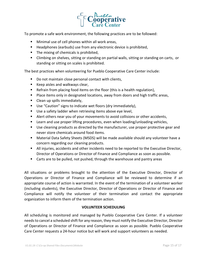

To promote a safe work environment, the following practices are to be followed:

- Minimal use of cell phones within all work areas,
- Headphones (earbuds) use from any electronic device is prohibited,
- The mixing of chemicals is prohibited,
- **E** Climbing on shelves, sitting or standing on partial walls, sitting or standing on carts, or standing or sitting on scales is prohibited.

The best practices when volunteering for Pueblo Cooperative Care Center include:

- Do not maintain close personal contact with clients,
- Keep aisles and walkways clear,
- Refrain from placing food items on the floor (this is a health regulation),
- Place items only in designated locations, away from doors and high traffic areas,
- Clean up spills immediately,
- Use "Caution" signs to indicate wet floors (dry immediately),
- Use a safety ladder when retrieving items above eye level,
- Alert others near you of your movements to avoid collisions or other accidents,
- Learn and use proper lifting procedures, even when loading/unloading vehicles,
- Use cleaning products as directed by the manufacturer, use proper protective gear and never store chemicals around food items.
- Material Data Safety Sheets (MSDS) will be made available should any volunteer have a concern regarding our cleaning products.
- All injuries, accidents and other incidents need to be reported to the Executive Director, Director of Operations or Director of Finance and Compliance as soon as possible.
- Carts are to be pulled, not pushed, through the warehouse and pantry areas

All situations or problems brought to the attention of the Executive Director, Director of Operations or Director of Finance and Compliance will be reviewed to determine if an appropriate course of action is warranted. In the event of the termination of a volunteer worker (including students), the Executive Director, Director of Operations or Director of Finance and Compliance will notify the volunteer of their termination and contact the appropriate organization to inform them of the termination action.

#### **VOLUNTEER SCHEDULING**

All scheduling is monitored and managed by Pueblo Cooperative Care Center. If a volunteer needs to cancel a scheduled shift for any reason, they must notify the Executive Director, Director of Operations or Director of Finance and Compliance as soon as possible. Pueblo Cooperative Care Center requests a 24-hour notice but will work and support volunteers as needed.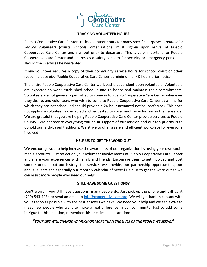

#### **TRACKING VOLUNTEER HOURS**

Pueblo Cooperative Care Center tracks volunteer hours for many specific purposes. C*ommunity Service Volunteers* (courts, schools, organizations) must sign-in upon arrival at Pueblo Cooperative Care Center and sign-out prior to departure. This is very important for Pueblo Cooperative Care Center and addresses a safety concern for security or emergency personnel should their services be warranted.

If any volunteer requires a copy of their community service hours for school, court or other reason, please give Pueblo Cooperative Care Center at minimum of 48-hours prior notice.

The entire Pueblo Cooperative Care Center workload is dependent upon volunteers. Volunteers are expected to work established schedule and to honor and maintain their commitments. Volunteers are not generally permitted to come in to Pueblo Cooperative Care Center whenever they desire, and volunteers who wish to come to Pueblo Cooperative Care Center at a time for which they are not scheduled should provide a 24-hour advanced notice (preferred). This does not apply if a volunteer is contacted and requested to cover another volunteer in their absence. We are grateful that you are helping Pueblo Cooperative Care Center provide services to Pueblo County. We appreciate everything you do in support of our mission and our top priority is to uphold our faith-based traditions. We strive to offer a safe and efficient workplace for everyone involved.

#### **HELP US TO GET THE WORD OUT**

We encourage you to help increase the awareness of our organization by using your own social media accounts. Just reflect on your volunteer involvements at Pueblo Cooperative Care Center and share your experiences with family and friends. Encourage them to get involved and post some stories about our history, the services we provide, our partnership opportunities, our annual events and especially our monthly calendar of needs! Help us to get the word out so we can assist more people who need our help!

#### **STILL HAVE SOME QUESTIONS?**

Don't worry if you still have questions, many people do. Just pick up the phone and call us at (719) 543-7484 or send an email to [info@cooperativecare.org.](mailto:info@cooperativecare.org) We will get back in contact with you as soon as possible with the best answers we have. We need your help and we can't wait to meet new people who want to make a real difference in our community. Just to add some intrigue to this equation, remember this one simple declaration:

#### *"YOUR LIFE WILL CHANGE AS MUCH OR MORE THAN THE LIVES OF THE PEOPLE WE SERVE.***"**